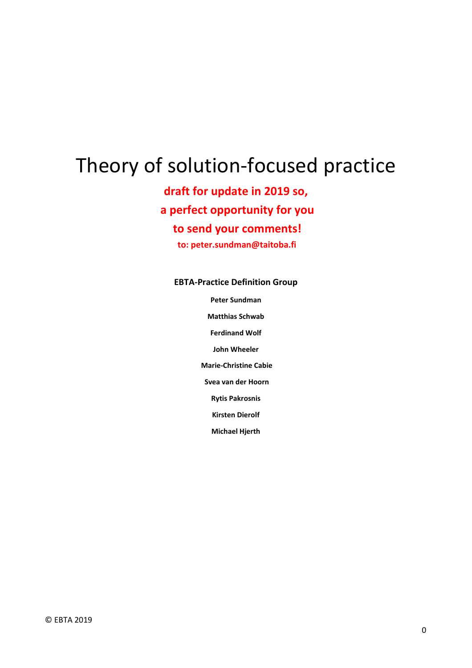# Theory of solution-focused practice

**draft for update in 2019 so, a perfect opportunity for you**

**to send your comments!**

**to: peter.sundman@taitoba.fi**

#### **EBTA-Practice Definition Group**

**Peter Sundman**

**Matthias Schwab**

**Ferdinand Wolf**

**John Wheeler**

**Marie-Christine Cabie**

**Svea van der Hoorn**

**Rytis Pakrosnis**

**Kirsten Dierolf**

**Michael Hjerth**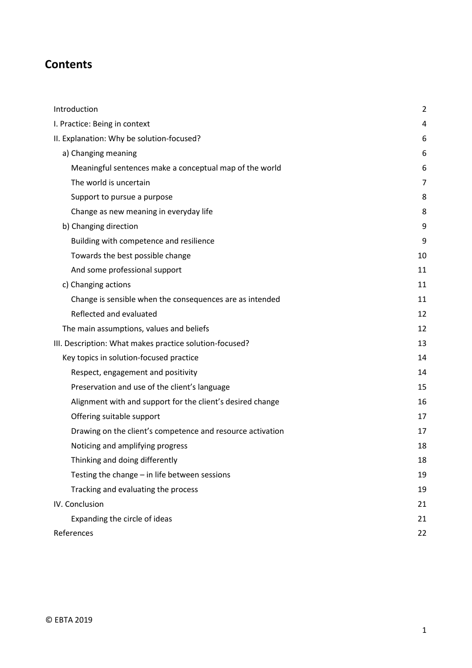### **Contents**

| Introduction                                               | 2              |
|------------------------------------------------------------|----------------|
| I. Practice: Being in context                              | 4              |
| II. Explanation: Why be solution-focused?                  | 6              |
| a) Changing meaning                                        | 6              |
| Meaningful sentences make a conceptual map of the world    | 6              |
| The world is uncertain                                     | $\overline{7}$ |
| Support to pursue a purpose                                | 8              |
| Change as new meaning in everyday life                     | 8              |
| b) Changing direction                                      | 9              |
| Building with competence and resilience                    | 9              |
| Towards the best possible change                           | 10             |
| And some professional support                              | 11             |
| c) Changing actions                                        | 11             |
| Change is sensible when the consequences are as intended   | 11             |
| Reflected and evaluated                                    | 12             |
| The main assumptions, values and beliefs                   | 12             |
| III. Description: What makes practice solution-focused?    | 13             |
| Key topics in solution-focused practice                    | 14             |
| Respect, engagement and positivity                         | 14             |
| Preservation and use of the client's language              | 15             |
| Alignment with and support for the client's desired change | 16             |
| Offering suitable support                                  | 17             |
| Drawing on the client's competence and resource activation | 17             |
| Noticing and amplifying progress                           | 18             |
| Thinking and doing differently                             | 18             |
| Testing the change - in life between sessions              | 19             |
| Tracking and evaluating the process                        | 19             |
| IV. Conclusion                                             | 21             |
| Expanding the circle of ideas                              | 21             |
| References                                                 | 22             |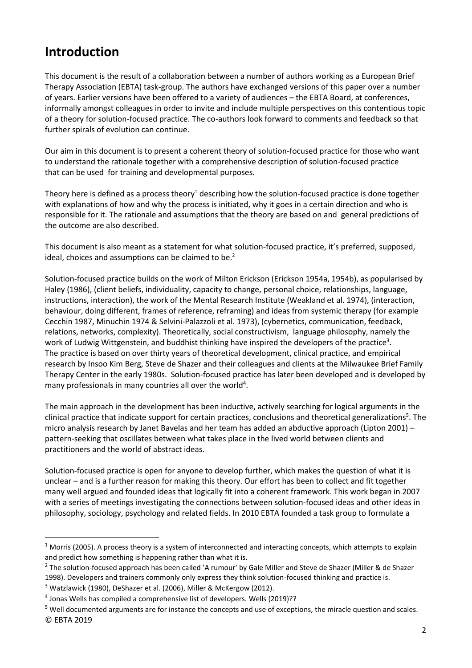## <span id="page-2-0"></span>**Introduction**

This document is the result of a collaboration between a number of authors working as a European Brief Therapy Association (EBTA) task-group. The authors have exchanged versions of this paper over a number of years. Earlier versions have been offered to a variety of audiences – the EBTA Board, at conferences, informally amongst colleagues in order to invite and include multiple perspectives on this contentious topic of a theory for solution-focused practice. The co-authors look forward to comments and feedback so that further spirals of evolution can continue.

Our aim in this document is to present a coherent theory of solution-focused practice for those who want to understand the rationale together with a comprehensive description of solution-focused practice that can be used for training and developmental purposes.

Theory here is defined as a process theory<sup>1</sup> describing how the solution-focused practice is done together with explanations of how and why the process is initiated, why it goes in a certain direction and who is responsible for it. The rationale and assumptions that the theory are based on and general predictions of the outcome are also described.

This document is also meant as a statement for what solution-focused practice, it's preferred, supposed, ideal, choices and assumptions can be claimed to be.<sup>2</sup>

Solution-focused practice builds on the work of Milton Erickson (Erickson 1954a, 1954b), as popularised by Haley (1986), (client beliefs, individuality, capacity to change, personal choice, relationships, language, instructions, interaction), the work of the Mental Research Institute (Weakland et al. 1974), (interaction, behaviour, doing different, frames of reference, reframing) and ideas from systemic therapy (for example Cecchin 1987, Minuchin 1974 & Selvini-Palazzoli et al. 1973), (cybernetics, communication, feedback, relations, networks, complexity). Theoretically, social constructivism, language philosophy, namely the work of Ludwig Wittgenstein, and buddhist thinking have inspired the developers of the practice<sup>3</sup>. The practice is based on over thirty years of theoretical development, clinical practice, and empirical research by Insoo Kim Berg, Steve de Shazer and their colleagues and clients at the Milwaukee Brief Family Therapy Center in the early 1980s. Solution-focused practice has later been developed and is developed by many professionals in many countries all over the world<sup>4</sup>.

The main approach in the development has been inductive, actively searching for logical arguments in the clinical practice that indicate support for certain practices, conclusions and theoretical generalizations<sup>5</sup>. The micro analysis research by Janet Bavelas and her team has added an abductive approach (Lipton 2001) – pattern-seeking that oscillates between what takes place in the lived world between clients and practitioners and the world of abstract ideas.

Solution-focused practice is open for anyone to develop further, which makes the question of what it is unclear – and is a further reason for making this theory. Our effort has been to collect and fit together many well argued and founded ideas that logically fit into a coherent framework. This work began in 2007 with a series of meetings investigating the connections between solution-focused ideas and other ideas in philosophy, sociology, psychology and related fields. In 2010 EBTA founded a task group to formulate a

 $^2$  The solution-focused approach has been called 'A rumour' by Gale Miller and Steve de Shazer (Miller & de Shazer 1998). Developers and trainers commonly only express they think solution-focused thinking and practice is.

 $1$  Morris (2005). A process theory is a system of interconnected and interacting concepts, which attempts to explain and predict how something is happening rather than what it is.

<sup>&</sup>lt;sup>3</sup> Watzlawick (1980), DeShazer et al. (2006), Miller & McKergow (2012).

 $<sup>4</sup>$  Jonas Wells has compiled a comprehensive list of developers. Wells (2019)??</sup>

<sup>©</sup> EBTA 2019 <sup>5</sup> Well documented arguments are for instance the concepts and use of exceptions, the miracle question and scales.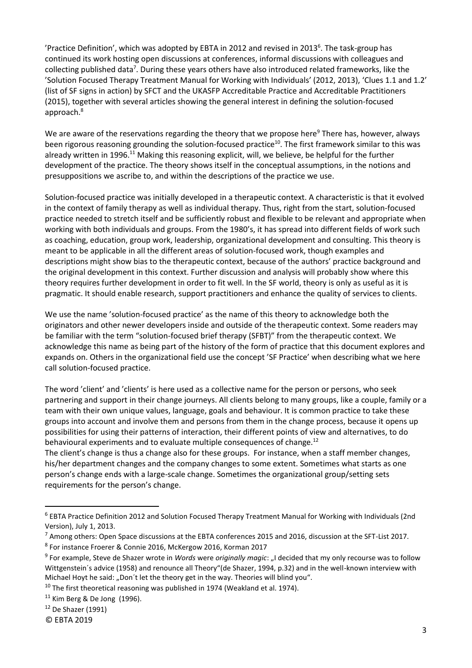'Practice Definition', which was adopted by EBTA in 2012 and revised in 2013 $^6$ . The task-group has continued its work hosting open discussions at conferences, informal discussions with colleagues and collecting published data<sup>7</sup>. During these years others have also introduced related frameworks, like the 'Solution Focused Therapy Treatment Manual for Working with Individuals' (2012, 2013), 'Clues 1.1 and 1.2' (list of SF signs in action) by SFCT and the UKASFP Accreditable Practice and Accreditable Practitioners (2015), together with several articles showing the general interest in defining the solution-focused approach.<sup>8</sup>

We are aware of the reservations regarding the theory that we propose here<sup>9</sup> There has, however, always been rigorous reasoning grounding the solution-focused practice<sup>10</sup>. The first framework similar to this was already written in 1996.<sup>11</sup> Making this reasoning explicit, will, we believe, be helpful for the further development of the practice. The theory shows itself in the conceptual assumptions, in the notions and presuppositions we ascribe to, and within the descriptions of the practice we use.

Solution-focused practice was initially developed in a therapeutic context. A characteristic is that it evolved in the context of family therapy as well as individual therapy. Thus, right from the start, solution-focused practice needed to stretch itself and be sufficiently robust and flexible to be relevant and appropriate when working with both individuals and groups. From the 1980's, it has spread into different fields of work such as coaching, education, group work, leadership, organizational development and consulting. This theory is meant to be applicable in all the different areas of solution-focused work, though examples and descriptions might show bias to the therapeutic context, because of the authors' practice background and the original development in this context. Further discussion and analysis will probably show where this theory requires further development in order to fit well. In the SF world, theory is only as useful as it is pragmatic. It should enable research, support practitioners and enhance the quality of services to clients.

We use the name 'solution-focused practice' as the name of this theory to acknowledge both the originators and other newer developers inside and outside of the therapeutic context. Some readers may be familiar with the term "solution-focused brief therapy (SFBT)" from the therapeutic context. We acknowledge this name as being part of the history of the form of practice that this document explores and expands on. Others in the organizational field use the concept 'SF Practice' when describing what we here call solution-focused practice.

The word 'client' and 'clients' is here used as a collective name for the person or persons, who seek partnering and support in their change journeys. All clients belong to many groups, like a couple, family or a team with their own unique values, language, goals and behaviour. It is common practice to take these groups into account and involve them and persons from them in the change process, because it opens up possibilities for using their patterns of interaction, their different points of view and alternatives, to do behavioural experiments and to evaluate multiple consequences of change.<sup>12</sup>

The client's change is thus a change also for these groups. For instance, when a staff member changes, his/her department changes and the company changes to some extent. Sometimes what starts as one person's change ends with a large-scale change. Sometimes the organizational group/setting sets requirements for the person's change.

<sup>6</sup> EBTA Practice Definition 2012 and Solution Focused Therapy Treatment Manual for Working with Individuals (2nd Version), July 1, 2013.

<sup>7</sup> Among others: Open Space discussions at the EBTA conferences 2015 and 2016, discussion at the SFT-List 2017.

<sup>8</sup> For instance Froerer & Connie 2016, McKergow 2016, Korman 2017

<sup>&</sup>lt;sup>9</sup> For example, Steve de Shazer wrote in *Words* were *originally magic*: "I decided that my only recourse was to follow Wittgenstein´s advice (1958) and renounce all Theory"(de Shazer, 1994, p.32) and in the well-known interview with Michael Hoyt he said: "Don't let the theory get in the way. Theories will blind you".

 $10$  The first theoretical reasoning was published in 1974 (Weakland et al. 1974).

 $11$  Kim Berg & De Jong (1996).

 $12$  De Shazer (1991)

<sup>©</sup> EBTA 2019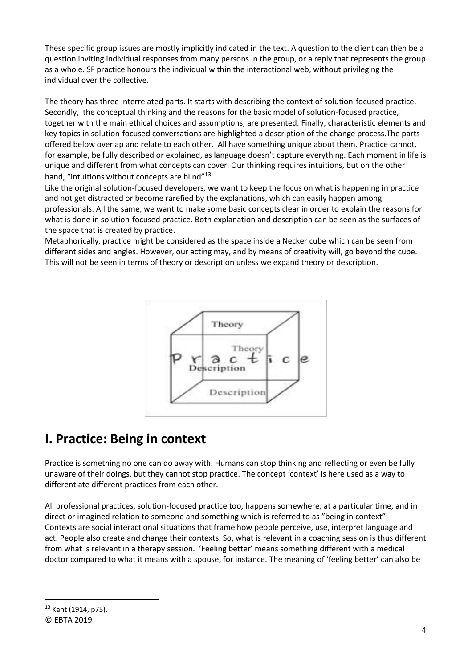These specific group issues are mostly implicitly indicated in the text. A question to the client can then be a question inviting individual responses from many persons in the group, or a reply that represents the group as a whole. SF practice honours the individual within the interactional web, without privileging the individual over the collective.

The theory has three interrelated parts. It starts with describing the context of solution-focused practice. Secondly, the conceptual thinking and the reasons for the basic model of solution-focused practice, together with the main ethical choices and assumptions, are presented. Finally, characteristic elements and key topics in solution-focused conversations are highlighted a description of the change process.The parts offered below overlap and relate to each other. All have something unique about them. Practice cannot, for example, be fully described or explained, as language doesn't capture everything. Each moment in life is unique and different from what concepts can cover. Our thinking requires intuitions, but on the other hand, "intuitions without concepts are blind"<sup>13</sup>.

Like the original solution-focused developers, we want to keep the focus on what is happening in practice and not get distracted or become rarefied by the explanations, which can easily happen among professionals. All the same, we want to make some basic concepts clear in order to explain the reasons for what is done in solution-focused practice. Both explanation and description can be seen as the surfaces of the space that is created by practice.

Metaphorically, practice might be considered as the space inside a Necker cube which can be seen from different sides and angles. However, our acting may, and by means of creativity will, go beyond the cube. This will not be seen in terms of theory or description unless we expand theory or description.



## <span id="page-4-0"></span>**I. Practice: Being in context**

Practice is something no one can do away with. Humans can stop thinking and reflecting or even be fully unaware of their doings, but they cannot stop practice. The concept 'context' is here used as a way to differentiate different practices from each other.

All professional practices, solution-focused practice too, happens somewhere, at a particular time, and in direct or imagined relation to someone and something which is referred to as "being in context". Contexts are social interactional situations that frame how people perceive, use, interpret language and act. People also create and change their contexts. So, what is relevant in a coaching session is thus different from what is relevant in a therapy session. 'Feeling better' means something different with a medical doctor compared to what it means with a spouse, for instance. The meaning of 'feeling better' can also be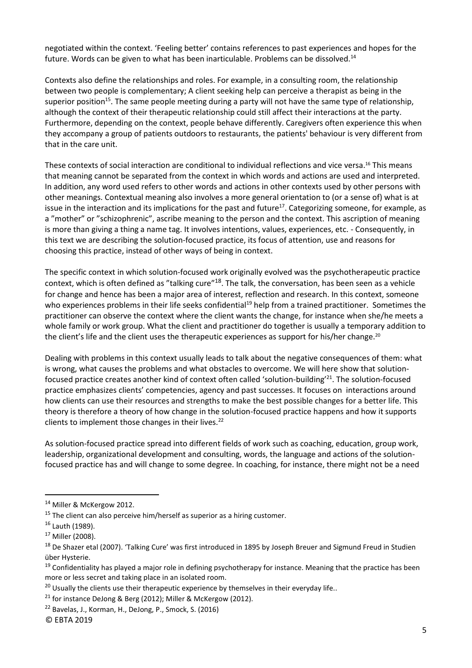negotiated within the context. 'Feeling better' contains references to past experiences and hopes for the future. Words can be given to what has been inarticulable. Problems can be dissolved.<sup>14</sup>

Contexts also define the relationships and roles. For example, in a consulting room, the relationship between two people is complementary; A client seeking help can perceive a therapist as being in the superior position<sup>15</sup>. The same people meeting during a party will not have the same type of relationship, although the context of their therapeutic relationship could still affect their interactions at the party. Furthermore, depending on the context, people behave differently. Caregivers often experience this when they accompany a group of patients outdoors to restaurants, the patients' behaviour is very different from that in the care unit.

These contexts of social interaction are conditional to individual reflections and vice versa.<sup>16</sup> This means that meaning cannot be separated from the context in which words and actions are used and interpreted. In addition, any word used refers to other words and actions in other contexts used by other persons with other meanings. Contextual meaning also involves a more general orientation to (or a sense of) what is at issue in the interaction and its implications for the past and future<sup>17</sup>. Categorizing someone, for example, as a "mother" or "schizophrenic", ascribe meaning to the person and the context. This ascription of meaning is more than giving a thing a name tag. It involves intentions, values, experiences, etc. - Consequently, in this text we are describing the solution-focused practice, its focus of attention, use and reasons for choosing this practice, instead of other ways of being in context.

The specific context in which solution-focused work originally evolved was the psychotherapeutic practice context, which is often defined as "talking cure"<sup>18</sup>. The talk, the conversation, has been seen as a vehicle for change and hence has been a major area of interest, reflection and research. In this context, someone who experiences problems in their life seeks confidential<sup>19</sup> help from a trained practitioner. Sometimes the practitioner can observe the context where the client wants the change, for instance when she/he meets a whole family or work group. What the client and practitioner do together is usually a temporary addition to the client's life and the client uses the therapeutic experiences as support for his/her change.<sup>20</sup>

Dealing with problems in this context usually leads to talk about the negative consequences of them: what is wrong, what causes the problems and what obstacles to overcome. We will here show that solutionfocused practice creates another kind of context often called 'solution-building'<sup>21</sup>. The solution-focused practice emphasizes clients' competencies, agency and past successes. It focuses on interactions around how clients can use their resources and strengths to make the best possible changes for a better life. This theory is therefore a theory of how change in the solution-focused practice happens and how it supports clients to implement those changes in their lives.<sup>22</sup>

As solution-focused practice spread into different fields of work such as coaching, education, group work, leadership, organizational development and consulting, words, the language and actions of the solutionfocused practice has and will change to some degree. In coaching, for instance, there might not be a need

<sup>&</sup>lt;sup>14</sup> Miller & McKergow 2012.

 $15$  The client can also perceive him/herself as superior as a hiring customer.

<sup>16</sup> Lauth (1989).

<sup>17</sup> Miller (2008).

<sup>&</sup>lt;sup>18</sup> De Shazer etal (2007). 'Talking Cure' was first introduced in 1895 by Joseph Breuer and Sigmund Freud in Studien über Hysterie.

<sup>&</sup>lt;sup>19</sup> Confidentiality has played a major role in defining psychotherapy for instance. Meaning that the practice has been more or less secret and taking place in an isolated room.

 $20$  Usually the clients use their therapeutic experience by themselves in their everyday life..

 $21$  for instance DeJong & Berg (2012); Miller & McKergow (2012).

<sup>22</sup> Bavelas, J., Korman, H., DeJong, P., Smock, S. (2016)

<sup>©</sup> EBTA 2019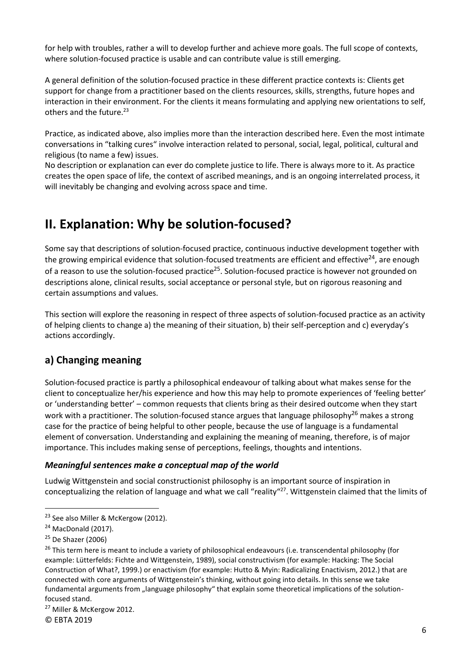for help with troubles, rather a will to develop further and achieve more goals. The full scope of contexts, where solution-focused practice is usable and can contribute value is still emerging.

A general definition of the solution-focused practice in these different practice contexts is: Clients get support for change from a practitioner based on the clients resources, skills, strengths, future hopes and interaction in their environment. For the clients it means formulating and applying new orientations to self, others and the future.<sup>23</sup>

Practice, as indicated above, also implies more than the interaction described here. Even the most intimate conversations in "talking cures" involve interaction related to personal, social, legal, political, cultural and religious (to name a few) issues.

No description or explanation can ever do complete justice to life. There is always more to it. As practice creates the open space of life, the context of ascribed meanings, and is an ongoing interrelated process, it will inevitably be changing and evolving across space and time.

## <span id="page-6-0"></span>**II. Explanation: Why be solution-focused?**

Some say that descriptions of solution-focused practice, continuous inductive development together with the growing empirical evidence that solution-focused treatments are efficient and effective<sup>24</sup>, are enough of a reason to use the solution-focused practice<sup>25</sup>. Solution-focused practice is however not grounded on descriptions alone, clinical results, social acceptance or personal style, but on rigorous reasoning and certain assumptions and values.

This section will explore the reasoning in respect of three aspects of solution-focused practice as an activity of helping clients to change a) the meaning of their situation, b) their self-perception and c) everyday's actions accordingly.

### <span id="page-6-1"></span>**a) Changing meaning**

Solution-focused practice is partly a philosophical endeavour of talking about what makes sense for the client to conceptualize her/his experience and how this may help to promote experiences of 'feeling better' or 'understanding better' – common requests that clients bring as their desired outcome when they start work with a practitioner. The solution-focused stance argues that language philosophy<sup>26</sup> makes a strong case for the practice of being helpful to other people, because the use of language is a fundamental element of conversation. Understanding and explaining the meaning of meaning, therefore, is of major importance. This includes making sense of perceptions, feelings, thoughts and intentions.

#### <span id="page-6-2"></span>*Meaningful sentences make a conceptual map of the world*

Ludwig Wittgenstein and social constructionist philosophy is an important source of inspiration in conceptualizing the relation of language and what we call "reality"<sup>27</sup>. Wittgenstein claimed that the limits of

© EBTA 2019

<sup>&</sup>lt;sup>23</sup> See also Miller & McKergow (2012).

<sup>&</sup>lt;sup>24</sup> MacDonald (2017).

 $25$  De Shazer (2006)

<sup>&</sup>lt;sup>26</sup> This term here is meant to include a variety of philosophical endeavours (i.e. transcendental philosophy (for example: Lütterfelds: Fichte and Wittgenstein, 1989), social constructivism (for example: Hacking: The Social Construction of What?, 1999.) or enactivism (for example: Hutto & Myin: Radicalizing Enactivism, 2012.) that are connected with core arguments of Wittgenstein's thinking, without going into details. In this sense we take fundamental arguments from "language philosophy" that explain some theoretical implications of the solutionfocused stand.

<sup>27</sup> Miller & McKergow 2012.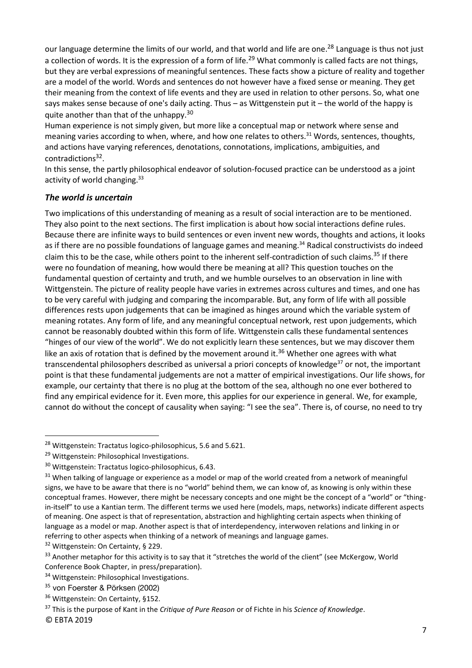our language determine the limits of our world, and that world and life are one.<sup>28</sup> Language is thus not just a collection of words. It is the expression of a form of life.<sup>29</sup> What commonly is called facts are not things, but they are verbal expressions of meaningful sentences. These facts show a picture of reality and together are a model of the world. Words and sentences do not however have a fixed sense or meaning. They get their meaning from the context of life events and they are used in relation to other persons. So, what one says makes sense because of one's daily acting. Thus – as Wittgenstein put it – the world of the happy is quite another than that of the unhappy.<sup>30</sup>

Human experience is not simply given, but more like a conceptual map or network where sense and meaning varies according to when, where, and how one relates to others.<sup>31</sup> Words, sentences, thoughts, and actions have varying references, denotations, connotations, implications, ambiguities, and contradictions<sup>32</sup>.

In this sense, the partly philosophical endeavor of solution-focused practice can be understood as a joint activity of world changing.<sup>33</sup>

#### <span id="page-7-0"></span>*The world is uncertain*

Two implications of this understanding of meaning as a result of social interaction are to be mentioned. They also point to the next sections. The first implication is about how social interactions define rules. Because there are infinite ways to build sentences or even invent new words, thoughts and actions, it looks as if there are no possible foundations of language games and meaning.<sup>34</sup> Radical constructivists do indeed claim this to be the case, while others point to the inherent self-contradiction of such claims.<sup>35</sup> If there were no foundation of meaning, how would there be meaning at all? This question touches on the fundamental question of certainty and truth, and we humble ourselves to an observation in line with Wittgenstein. The picture of reality people have varies in extremes across cultures and times, and one has to be very careful with judging and comparing the incomparable. But, any form of life with all possible differences rests upon judgements that can be imagined as hinges around which the variable system of meaning rotates. Any form of life, and any meaningful conceptual network, rest upon judgements, which cannot be reasonably doubted within this form of life. Wittgenstein calls these fundamental sentences "hinges of our view of the world". We do not explicitly learn these sentences, but we may discover them like an axis of rotation that is defined by the movement around it.<sup>36</sup> Whether one agrees with what transcendental philosophers described as universal a priori concepts of knowledge<sup>37</sup> or not, the important point is that these fundamental judgements are not a matter of empirical investigations. Our life shows, for example, our certainty that there is no plug at the bottom of the sea, although no one ever bothered to find any empirical evidence for it. Even more, this applies for our experience in general. We, for example, cannot do without the concept of causality when saying: "I see the sea". There is, of course, no need to try

<sup>&</sup>lt;sup>28</sup> Wittgenstein: Tractatus logico-philosophicus, 5.6 and 5.621.

<sup>29</sup> Wittgenstein: Philosophical Investigations.

<sup>30</sup> Wittgenstein: Tractatus logico-philosophicus, 6.43.

<sup>&</sup>lt;sup>31</sup> When talking of language or experience as a model or map of the world created from a network of meaningful signs, we have to be aware that there is no "world" behind them, we can know of, as knowing is only within these conceptual frames. However, there might be necessary concepts and one might be the concept of a "world" or "thingin-itself" to use a Kantian term. The different terms we used here (models, maps, networks) indicate different aspects of meaning. One aspect is that of representation, abstraction and highlighting certain aspects when thinking of language as a model or map. Another aspect is that of interdependency, interwoven relations and linking in or referring to other aspects when thinking of a network of meanings and language games.

<sup>32</sup> Wittgenstein: On Certainty, § 229.

<sup>&</sup>lt;sup>33</sup> Another metaphor for this activity is to say that it "stretches the world of the client" (see McKergow, World Conference Book Chapter, in press/preparation).

<sup>&</sup>lt;sup>34</sup> Wittgenstein: Philosophical Investigations.

<sup>&</sup>lt;sup>35</sup> von Foerster & Pörksen (2002)

<sup>&</sup>lt;sup>36</sup> Wittgenstein: On Certainty, §152.

<sup>37</sup> This is the purpose of Kant in the *Critique of Pure Reason* or of Fichte in his *Science of Knowledge*.

<sup>©</sup> EBTA 2019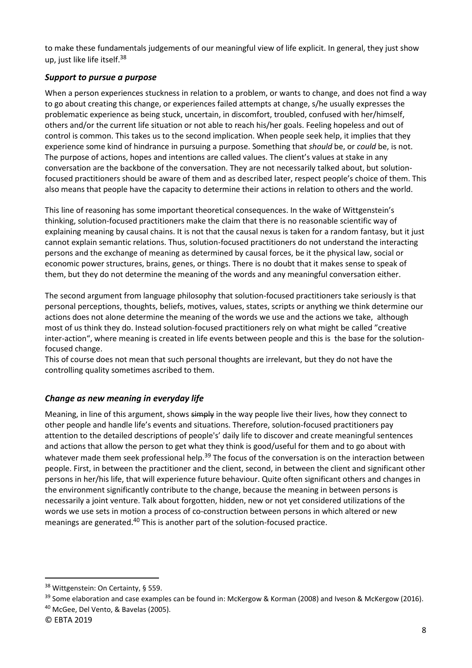to make these fundamentals judgements of our meaningful view of life explicit. In general, they just show up, just like life itself.<sup>38</sup>

#### <span id="page-8-0"></span>*Support to pursue a purpose*

When a person experiences stuckness in relation to a problem, or wants to change, and does not find a way to go about creating this change, or experiences failed attempts at change, s/he usually expresses the problematic experience as being stuck, uncertain, in discomfort, troubled, confused with her/himself, others and/or the current life situation or not able to reach his/her goals. Feeling hopeless and out of control is common. This takes us to the second implication. When people seek help, it implies that they experience some kind of hindrance in pursuing a purpose. Something that *should* be, or *could* be, is not. The purpose of actions, hopes and intentions are called values. The client's values at stake in any conversation are the backbone of the conversation. They are not necessarily talked about, but solutionfocused practitioners should be aware of them and as described later, respect people's choice of them. This also means that people have the capacity to determine their actions in relation to others and the world.

This line of reasoning has some important theoretical consequences. In the wake of Wittgenstein's thinking, solution-focused practitioners make the claim that there is no reasonable scientific way of explaining meaning by causal chains. It is not that the causal nexus is taken for a random fantasy, but it just cannot explain semantic relations. Thus, solution-focused practitioners do not understand the interacting persons and the exchange of meaning as determined by causal forces, be it the physical law, social or economic power structures, brains, genes, or things. There is no doubt that it makes sense to speak of them, but they do not determine the meaning of the words and any meaningful conversation either.

The second argument from language philosophy that solution-focused practitioners take seriously is that personal perceptions, thoughts, beliefs, motives, values, states, scripts or anything we think determine our actions does not alone determine the meaning of the words we use and the actions we take, although most of us think they do. Instead solution-focused practitioners rely on what might be called "creative inter-action", where meaning is created in life events between people and this is the base for the solutionfocused change.

This of course does not mean that such personal thoughts are irrelevant, but they do not have the controlling quality sometimes ascribed to them.

#### <span id="page-8-1"></span>*Change as new meaning in everyday life*

Meaning, in line of this argument, shows simply in the way people live their lives, how they connect to other people and handle life's events and situations. Therefore, solution-focused practitioners pay attention to the detailed descriptions of people's' daily life to discover and create meaningful sentences and actions that allow the person to get what they think is good/useful for them and to go about with whatever made them seek professional help.<sup>39</sup> The focus of the conversation is on the interaction between people. First, in between the practitioner and the client, second, in between the client and significant other persons in her/his life, that will experience future behaviour. Quite often significant others and changes in the environment significantly contribute to the change, because the meaning in between persons is necessarily a joint venture. Talk about forgotten, hidden, new or not yet considered utilizations of the words we use sets in motion a process of co-construction between persons in which altered or new meanings are generated.<sup>40</sup> This is another part of the solution-focused practice.

<sup>38</sup> Wittgenstein: On Certainty, § 559.

<sup>&</sup>lt;sup>39</sup> Some elaboration and case examples can be found in: McKergow & Korman (2008) and Iveson & McKergow (2016).

<sup>40</sup> McGee, Del Vento, & Bavelas (2005).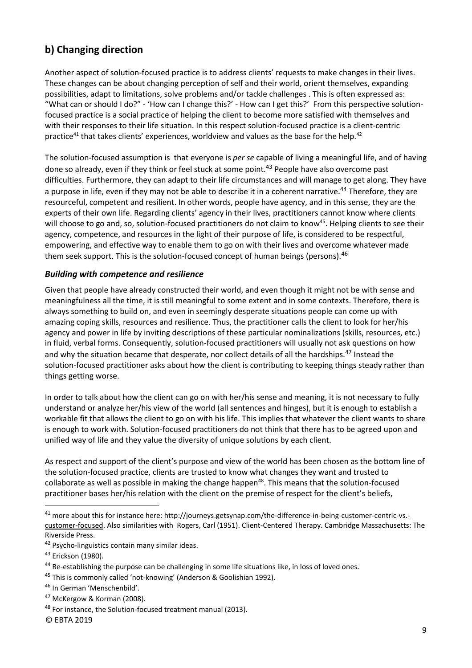### <span id="page-9-0"></span>**b) Changing direction**

Another aspect of solution-focused practice is to address clients' requests to make changes in their lives. These changes can be about changing perception of self and their world, orient themselves, expanding possibilities, adapt to limitations, solve problems and/or tackle challenges . This is often expressed as: "What can or should I do?" - 'How can I change this?' - How can I get this?' From this perspective solutionfocused practice is a social practice of helping the client to become more satisfied with themselves and with their responses to their life situation. In this respect solution-focused practice is a client-centric practice<sup>41</sup> that takes clients' experiences, worldview and values as the base for the help.<sup>42</sup>

The solution-focused assumption is that everyone is *per se* capable of living a meaningful life, and of having done so already, even if they think or feel stuck at some point.<sup>43</sup> People have also overcome past difficulties. Furthermore, they can adapt to their life circumstances and will manage to get along. They have a purpose in life, even if they may not be able to describe it in a coherent narrative.<sup>44</sup> Therefore, they are resourceful, competent and resilient. In other words, people have agency, and in this sense, they are the experts of their own life. Regarding clients' agency in their lives, practitioners cannot know where clients will choose to go and, so, solution-focused practitioners do not claim to know<sup>45</sup>. Helping clients to see their agency, competence, and resources in the light of their purpose of life, is considered to be respectful, empowering, and effective way to enable them to go on with their lives and overcome whatever made them seek support. This is the solution-focused concept of human beings (persons).<sup>46</sup>

#### <span id="page-9-1"></span>*Building with competence and resilience*

Given that people have already constructed their world, and even though it might not be with sense and meaningfulness all the time, it is still meaningful to some extent and in some contexts. Therefore, there is always something to build on, and even in seemingly desperate situations people can come up with amazing coping skills, resources and resilience. Thus, the practitioner calls the client to look for her/his agency and power in life by inviting descriptions of these particular nominalizations (skills, resources, etc.) in fluid, verbal forms. Consequently, solution-focused practitioners will usually not ask questions on how and why the situation became that desperate, nor collect details of all the hardships.<sup>47</sup> Instead the solution-focused practitioner asks about how the client is contributing to keeping things steady rather than things getting worse.

In order to talk about how the client can go on with her/his sense and meaning, it is not necessary to fully understand or analyze her/his view of the world (all sentences and hinges), but it is enough to establish a workable fit that allows the client to go on with his life. This implies that whatever the client wants to share is enough to work with. Solution-focused practitioners do not think that there has to be agreed upon and unified way of life and they value the diversity of unique solutions by each client.

As respect and support of the client's purpose and view of the world has been chosen as the bottom line of the solution-focused practice, clients are trusted to know what changes they want and trusted to collaborate as well as possible in making the change happen<sup>48</sup>. This means that the solution-focused practitioner bases her/his relation with the client on the premise of respect for the client's beliefs,

<sup>&</sup>lt;sup>41</sup> more about this for instance here: [http://journeys.getsynap.com/the-difference-in-being-customer-centric-vs.](http://journeys.getsynap.com/the-difference-in-being-customer-centric-vs.-customer-focused) [customer-focused.](http://journeys.getsynap.com/the-difference-in-being-customer-centric-vs.-customer-focused) Also similarities with Rogers, Carl (1951). Client-Centered Therapy. Cambridge Massachusetts: The Riverside Press.

<sup>&</sup>lt;sup>42</sup> Psycho-linguistics contain many similar ideas.

<sup>&</sup>lt;sup>43</sup> Erickson (1980).

<sup>44</sup> Re-establishing the purpose can be challenging in some life situations like, in loss of loved ones.

<sup>&</sup>lt;sup>45</sup> This is commonly called 'not-knowing' (Anderson & Goolishian 1992).

<sup>46</sup> In German 'Menschenbild'.

 $47$  McKergow & Korman (2008).

<sup>48</sup> For instance, the Solution-focused treatment manual (2013).

<sup>©</sup> EBTA 2019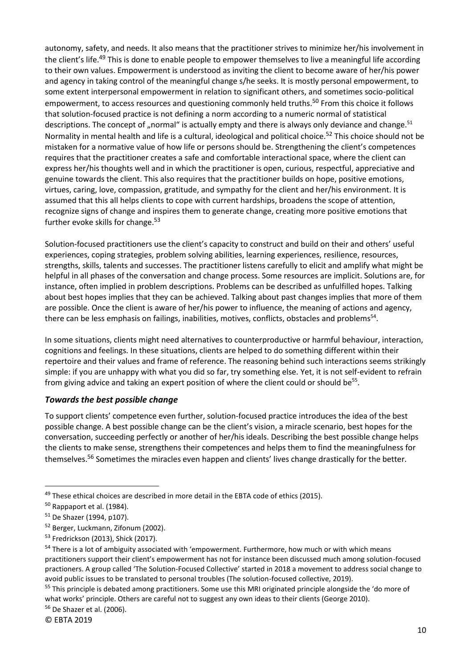autonomy, safety, and needs. It also means that the practitioner strives to minimize her/his involvement in the client's life.<sup>49</sup> This is done to enable people to empower themselves to live a meaningful life according to their own values. Empowerment is understood as inviting the client to become aware of her/his power and agency in taking control of the meaningful change s/he seeks. It is mostly personal empowerment, to some extent interpersonal empowerment in relation to significant others, and sometimes socio-political empowerment, to access resources and questioning commonly held truths.<sup>50</sup> From this choice it follows that solution-focused practice is not defining a norm according to a numeric normal of statistical descriptions. The concept of "normal" is actually empty and there is always only deviance and change.<sup>51</sup> Normality in mental health and life is a cultural, ideological and political choice.<sup>52</sup> This choice should not be mistaken for a normative value of how life or persons should be. Strengthening the client's competences requires that the practitioner creates a safe and comfortable interactional space, where the client can express her/his thoughts well and in which the practitioner is open, curious, respectful, appreciative and genuine towards the client. This also requires that the practitioner builds on hope, positive emotions, virtues, caring, love, compassion, gratitude, and sympathy for the client and her/his environment. It is assumed that this all helps clients to cope with current hardships, broadens the scope of attention, recognize signs of change and inspires them to generate change, creating more positive emotions that further evoke skills for change.<sup>53</sup>

Solution-focused practitioners use the client's capacity to construct and build on their and others' useful experiences, coping strategies, problem solving abilities, learning experiences, resilience, resources, strengths, skills, talents and successes. The practitioner listens carefully to elicit and amplify what might be helpful in all phases of the conversation and change process. Some resources are implicit. Solutions are, for instance, often implied in problem descriptions. Problems can be described as unfulfilled hopes. Talking about best hopes implies that they can be achieved. Talking about past changes implies that more of them are possible. Once the client is aware of her/his power to influence, the meaning of actions and agency, there can be less emphasis on failings, inabilities, motives, conflicts, obstacles and problems<sup>54</sup>.

In some situations, clients might need alternatives to counterproductive or harmful behaviour, interaction, cognitions and feelings. In these situations, clients are helped to do something different within their repertoire and their values and frame of reference. The reasoning behind such interactions seems strikingly simple: if you are unhappy with what you did so far, try something else. Yet, it is not self-evident to refrain from giving advice and taking an expert position of where the client could or should be<sup>55</sup>.

#### <span id="page-10-0"></span>*Towards the best possible change*

To support clients' competence even further, solution-focused practice introduces the idea of the best possible change. A best possible change can be the client's vision, a miracle scenario, best hopes for the conversation, succeeding perfectly or another of her/his ideals. Describing the best possible change helps the clients to make sense, strengthens their competences and helps them to find the meaningfulness for themselves.<sup>56</sup> Sometimes the miracles even happen and clients' lives change drastically for the better.

 $49$  These ethical choices are described in more detail in the EBTA code of ethics (2015).

 $50$  Rappaport et al. (1984).

<sup>51</sup> De Shazer (1994, p107).

<sup>52</sup> Berger, Luckmann, Zifonum (2002).

<sup>53</sup> Fredrickson (2013), Shick (2017).

<sup>&</sup>lt;sup>54</sup> There is a lot of ambiguity associated with 'empowerment. Furthermore, how much or with which means practitioners support their client's empowerment has not for instance been discussed much among solution-focused practioners. A group called 'The Solution-Focused Collective' started in 2018 a movement to address social change to avoid public issues to be translated to personal troubles (The solution-focused collective, 2019).

<sup>&</sup>lt;sup>55</sup> This principle is debated among practitioners. Some use this MRI originated principle alongside the 'do more of what works' principle. Others are careful not to suggest any own ideas to their clients (George 2010).

<sup>56</sup> De Shazer et al. (2006).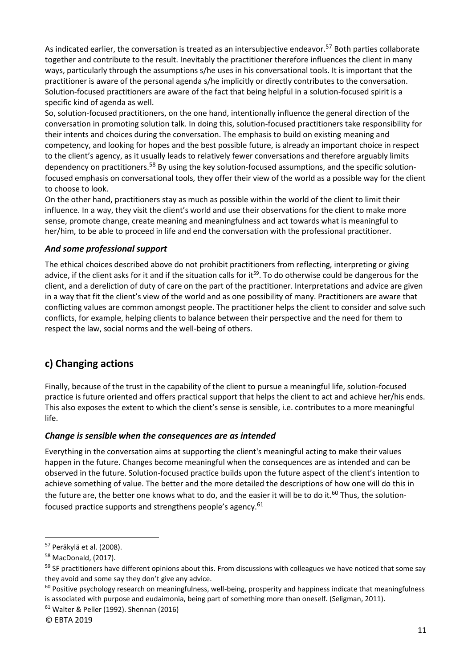As indicated earlier, the conversation is treated as an intersubjective endeavor.<sup>57</sup> Both parties collaborate together and contribute to the result. Inevitably the practitioner therefore influences the client in many ways, particularly through the assumptions s/he uses in his conversational tools. It is important that the practitioner is aware of the personal agenda s/he implicitly or directly contributes to the conversation. Solution-focused practitioners are aware of the fact that being helpful in a solution-focused spirit is a specific kind of agenda as well.

So, solution-focused practitioners, on the one hand, intentionally influence the general direction of the conversation in promoting solution talk. In doing this, solution-focused practitioners take responsibility for their intents and choices during the conversation. The emphasis to build on existing meaning and competency, and looking for hopes and the best possible future, is already an important choice in respect to the client's agency, as it usually leads to relatively fewer conversations and therefore arguably limits dependency on practitioners.<sup>58</sup> By using the key solution-focused assumptions, and the specific solutionfocused emphasis on conversational tools, they offer their view of the world as a possible way for the client to choose to look.

On the other hand, practitioners stay as much as possible within the world of the client to limit their influence. In a way, they visit the client's world and use their observations for the client to make more sense, promote change, create meaning and meaningfulness and act towards what is meaningful to her/him, to be able to proceed in life and end the conversation with the professional practitioner.

#### <span id="page-11-0"></span>*And some professional support*

The ethical choices described above do not prohibit practitioners from reflecting, interpreting or giving advice, if the client asks for it and if the situation calls for it<sup>59</sup>. To do otherwise could be dangerous for the client, and a dereliction of duty of care on the part of the practitioner. Interpretations and advice are given in a way that fit the client's view of the world and as one possibility of many. Practitioners are aware that conflicting values are common amongst people. The practitioner helps the client to consider and solve such conflicts, for example, helping clients to balance between their perspective and the need for them to respect the law, social norms and the well-being of others.

### <span id="page-11-1"></span>**c) Changing actions**

Finally, because of the trust in the capability of the client to pursue a meaningful life, solution-focused practice is future oriented and offers practical support that helps the client to act and achieve her/his ends. This also exposes the extent to which the client's sense is sensible, i.e. contributes to a more meaningful life.

#### <span id="page-11-2"></span>*Change is sensible when the consequences are as intended*

Everything in the conversation aims at supporting the client's meaningful acting to make their values happen in the future. Changes become meaningful when the consequences are as intended and can be observed in the future. Solution-focused practice builds upon the future aspect of the client's intention to achieve something of value. The better and the more detailed the descriptions of how one will do this in the future are, the better one knows what to do, and the easier it will be to do it.<sup>60</sup> Thus, the solutionfocused practice supports and strengthens people's agency.<sup>61</sup>

<sup>57</sup> Peräkylä et al. (2008).

<sup>58</sup> MacDonald, (2017).

<sup>&</sup>lt;sup>59</sup> SF practitioners have different opinions about this. From discussions with colleagues we have noticed that some say they avoid and some say they don't give any advice.

 $60$  Positive psychology research on meaningfulness, well-being, prosperity and happiness indicate that meaningfulness is associated with purpose and eudaimonia, being part of something more than oneself. (Seligman, 2011).

<sup>61</sup> Walter & Peller (1992). Shennan (2016)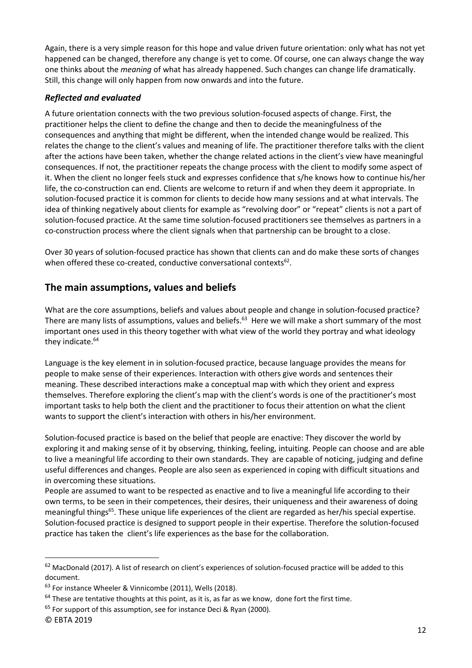Again, there is a very simple reason for this hope and value driven future orientation: only what has not yet happened can be changed, therefore any change is yet to come. Of course, one can always change the way one thinks about the *meaning* of what has already happened. Such changes can change life dramatically. Still, this change will only happen from now onwards and into the future.

#### <span id="page-12-0"></span>*Reflected and evaluated*

A future orientation connects with the two previous solution-focused aspects of change. First, the practitioner helps the client to define the change and then to decide the meaningfulness of the consequences and anything that might be different, when the intended change would be realized. This relates the change to the client's values and meaning of life. The practitioner therefore talks with the client after the actions have been taken, whether the change related actions in the client's view have meaningful consequences. If not, the practitioner repeats the change process with the client to modify some aspect of it. When the client no longer feels stuck and expresses confidence that s/he knows how to continue his/her life, the co-construction can end. Clients are welcome to return if and when they deem it appropriate. In solution-focused practice it is common for clients to decide how many sessions and at what intervals. The idea of thinking negatively about clients for example as "revolving door" or "repeat" clients is not a part of solution-focused practice. At the same time solution-focused practitioners see themselves as partners in a co-construction process where the client signals when that partnership can be brought to a close.

Over 30 years of solution-focused practice has shown that clients can and do make these sorts of changes when offered these co-created, conductive conversational contexts $^{62}$ .

### <span id="page-12-1"></span>**The main assumptions, values and beliefs**

What are the core assumptions, beliefs and values about people and change in solution-focused practice? There are many lists of assumptions, values and beliefs.<sup>63</sup> Here we will make a short summary of the most important ones used in this theory together with what view of the world they portray and what ideology they indicate.<sup>64</sup>

Language is the key element in in solution-focused practice, because language provides the means for people to make sense of their experiences. Interaction with others give words and sentences their meaning. These described interactions make a conceptual map with which they orient and express themselves. Therefore exploring the client's map with the client's words is one of the practitioner's most important tasks to help both the client and the practitioner to focus their attention on what the client wants to support the client's interaction with others in his/her environment.

Solution-focused practice is based on the belief that people are enactive: They discover the world by exploring it and making sense of it by observing, thinking, feeling, intuiting. People can choose and are able to live a meaningful life according to their own standards. They are capable of noticing, judging and define useful differences and changes. People are also seen as experienced in coping with difficult situations and in overcoming these situations.

People are assumed to want to be respected as enactive and to live a meaningful life according to their own terms, to be seen in their competences, their desires, their uniqueness and their awareness of doing meaningful things<sup>65</sup>. These unique life experiences of the client are regarded as her/his special expertise. Solution-focused practice is designed to support people in their expertise. Therefore the solution-focused practice has taken the client's life experiences as the base for the collaboration.

<sup>&</sup>lt;sup>62</sup> MacDonald (2017). A list of research on client's experiences of solution-focused practice will be added to this document.

<sup>63</sup> For instance Wheeler & Vinnicombe (2011), Wells (2018).

 $64$  These are tentative thoughts at this point, as it is, as far as we know, done fort the first time.

<sup>&</sup>lt;sup>65</sup> For support of this assumption, see for instance Deci & Ryan (2000).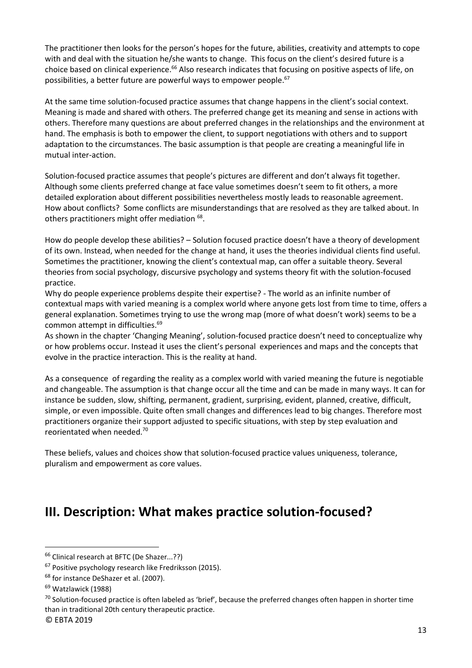The practitioner then looks for the person's hopes for the future, abilities, creativity and attempts to cope with and deal with the situation he/she wants to change. This focus on the client's desired future is a choice based on clinical experience.<sup>66</sup> Also research indicates that focusing on positive aspects of life, on possibilities, a better future are powerful ways to empower people.<sup>67</sup>

At the same time solution-focused practice assumes that change happens in the client's social context. Meaning is made and shared with others. The preferred change get its meaning and sense in actions with others. Therefore many questions are about preferred changes in the relationships and the environment at hand. The emphasis is both to empower the client, to support negotiations with others and to support adaptation to the circumstances. The basic assumption is that people are creating a meaningful life in mutual inter-action.

Solution-focused practice assumes that people's pictures are different and don't always fit together. Although some clients preferred change at face value sometimes doesn't seem to fit others, a more detailed exploration about different possibilities nevertheless mostly leads to reasonable agreement. How about conflicts? Some conflicts are misunderstandings that are resolved as they are talked about. In others practitioners might offer mediation  $^{68}$ .

How do people develop these abilities? – Solution focused practice doesn't have a theory of development of its own. Instead, when needed for the change at hand, it uses the theories individual clients find useful. Sometimes the practitioner, knowing the client's contextual map, can offer a suitable theory. Several theories from social psychology, discursive psychology and systems theory fit with the solution-focused practice.

Why do people experience problems despite their expertise? - The world as an infinite number of contextual maps with varied meaning is a complex world where anyone gets lost from time to time, offers a general explanation. Sometimes trying to use the wrong map (more of what doesn't work) seems to be a common attempt in difficulties.<sup>69</sup>

As shown in the chapter 'Changing Meaning', solution-focused practice doesn't need to conceptualize why or how problems occur. Instead it uses the client's personal experiences and maps and the concepts that evolve in the practice interaction. This is the reality at hand.

As a consequence of regarding the reality as a complex world with varied meaning the future is negotiable and changeable. The assumption is that change occur all the time and can be made in many ways. It can for instance be sudden, slow, shifting, permanent, gradient, surprising, evident, planned, creative, difficult, simple, or even impossible. Quite often small changes and differences lead to big changes. Therefore most practitioners organize their support adjusted to specific situations, with step by step evaluation and reorientated when needed.<sup>70</sup>

These beliefs, values and choices show that solution-focused practice values uniqueness, tolerance, pluralism and empowerment as core values.

## <span id="page-13-0"></span>**III. Description: What makes practice solution-focused?**

#### © EBTA 2019

<sup>66</sup> Clinical research at BFTC (De Shazer...??)

<sup>&</sup>lt;sup>67</sup> Positive psychology research like Fredriksson (2015).

<sup>&</sup>lt;sup>68</sup> for instance DeShazer et al. (2007).

<sup>&</sup>lt;sup>69</sup> Watzlawick (1988)

 $70$  Solution-focused practice is often labeled as 'brief', because the preferred changes often happen in shorter time than in traditional 20th century therapeutic practice.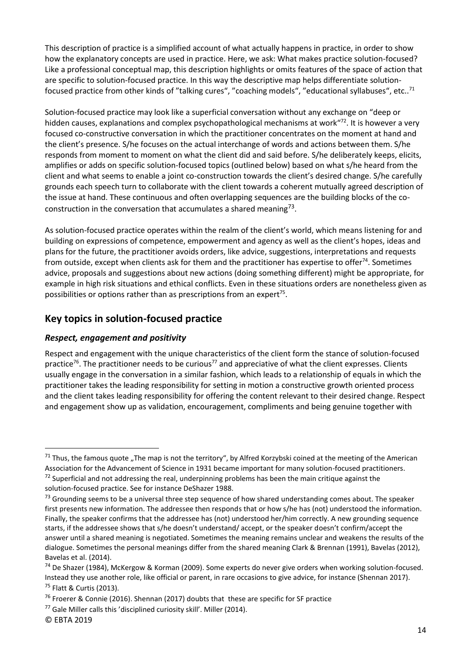This description of practice is a simplified account of what actually happens in practice, in order to show how the explanatory concepts are used in practice. Here, we ask: What makes practice solution-focused? Like a professional conceptual map, this description highlights or omits features of the space of action that are specific to solution-focused practice. In this way the descriptive map helps differentiate solutionfocused practice from other kinds of "talking cures", "coaching models", "educational syllabuses", etc..<sup>71</sup>

Solution-focused practice may look like a superficial conversation without any exchange on "deep or hidden causes, explanations and complex psychopathological mechanisms at work<sup>"72</sup>. It is however a very focused co-constructive conversation in which the practitioner concentrates on the moment at hand and the client's presence. S/he focuses on the actual interchange of words and actions between them. S/he responds from moment to moment on what the client did and said before. S/he deliberately keeps, elicits, amplifies or adds on specific solution-focused topics (outlined below) based on what s/he heard from the client and what seems to enable a joint co-construction towards the client's desired change. S/he carefully grounds each speech turn to collaborate with the client towards a coherent mutually agreed description of the issue at hand. These continuous and often overlapping sequences are the building blocks of the coconstruction in the conversation that accumulates a shared meaning<sup>73</sup>.

As solution-focused practice operates within the realm of the client's world, which means listening for and building on expressions of competence, empowerment and agency as well as the client's hopes, ideas and plans for the future, the practitioner avoids orders, like advice, suggestions, interpretations and requests from outside, except when clients ask for them and the practitioner has expertise to offer $74$ . Sometimes advice, proposals and suggestions about new actions (doing something different) might be appropriate, for example in high risk situations and ethical conflicts. Even in these situations orders are nonetheless given as possibilities or options rather than as prescriptions from an expert<sup>75</sup>.

### <span id="page-14-0"></span>**Key topics in solution-focused practice**

#### <span id="page-14-1"></span>*Respect, engagement and positivity*

Respect and engagement with the unique characteristics of the client form the stance of solution-focused practice<sup>76</sup>. The practitioner needs to be curious<sup>77</sup> and appreciative of what the client expresses. Clients usually engage in the conversation in a similar fashion, which leads to a relationship of equals in which the practitioner takes the leading responsibility for setting in motion a constructive growth oriented process and the client takes leading responsibility for offering the content relevant to their desired change. Respect and engagement show up as validation, encouragement, compliments and being genuine together with

 $71$  Thus, the famous quote "The map is not the territory", by Alfred Korzybski coined at the meeting of the American Association for the Advancement of Science in 1931 became important for many solution-focused practitioners.

 $72$  Superficial and not addressing the real, underpinning problems has been the main critique against the solution-focused practice. See for instance DeShazer 1988.

<sup>&</sup>lt;sup>73</sup> Grounding seems to be a universal three step sequence of how shared understanding comes about. The speaker first presents new information. The addressee then responds that or how s/he has (not) understood the information. Finally, the speaker confirms that the addressee has (not) understood her/him correctly. A new grounding sequence starts, if the addressee shows that s/he doesn't understand/ accept, or the speaker doesn't confirm/accept the answer until a shared meaning is negotiated. Sometimes the meaning remains unclear and weakens the results of the dialogue. Sometimes the personal meanings differ from the shared meaning Clark & Brennan (1991), Bavelas (2012), Bavelas et al. (2014).

<sup>74</sup> De Shazer (1984), McKergow & Korman (2009). Some experts do never give orders when working solution-focused. Instead they use another role, like official or parent, in rare occasions to give advice, for instance (Shennan 2017). <sup>75</sup> Flatt & Curtis (2013).

<sup>&</sup>lt;sup>76</sup> Froerer & Connie (2016). Shennan (2017) doubts that these are specific for SF practice

<sup>77</sup> Gale Miller calls this 'disciplined curiosity skill'. Miller (2014).

<sup>©</sup> EBTA 2019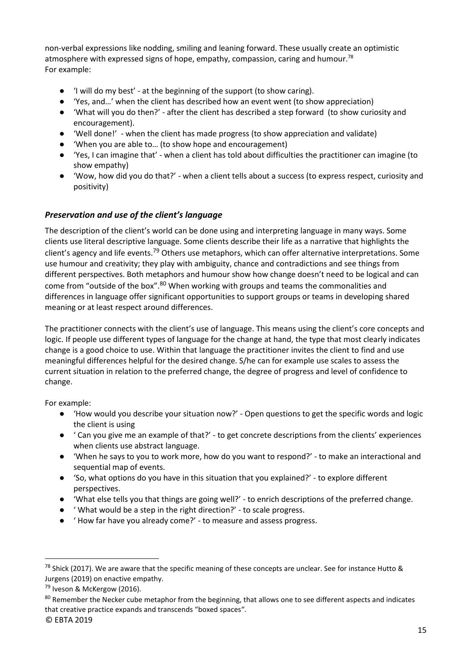non-verbal expressions like nodding, smiling and leaning forward. These usually create an optimistic atmosphere with expressed signs of hope, empathy, compassion, caring and humour.<sup>78</sup> For example:

- 'I will do my best' at the beginning of the support (to show caring).
- 'Yes, and...' when the client has described how an event went (to show appreciation)
- 'What will you do then?' after the client has described a step forward (to show curiosity and encouragement).
- 'Well done!' when the client has made progress (to show appreciation and validate)
- 'When you are able to… (to show hope and encouragement)
- 'Yes, I can imagine that' when a client has told about difficulties the practitioner can imagine (to show empathy)
- 'Wow, how did you do that?' when a client tells about a success (to express respect, curiosity and positivity)

#### <span id="page-15-0"></span>*Preservation and use of the client's language*

The description of the client's world can be done using and interpreting language in many ways. Some clients use literal descriptive language. Some clients describe their life as a narrative that highlights the client's agency and life events.<sup>79</sup> Others use metaphors, which can offer alternative interpretations. Some use humour and creativity; they play with ambiguity, chance and contradictions and see things from different perspectives. Both metaphors and humour show how change doesn't need to be logical and can come from "outside of the box".<sup>80</sup> When working with groups and teams the commonalities and differences in language offer significant opportunities to support groups or teams in developing shared meaning or at least respect around differences.

The practitioner connects with the client's use of language. This means using the client's core concepts and logic. If people use different types of language for the change at hand, the type that most clearly indicates change is a good choice to use. Within that language the practitioner invites the client to find and use meaningful differences helpful for the desired change. S/he can for example use scales to assess the current situation in relation to the preferred change, the degree of progress and level of confidence to change.

For example:

- 'How would you describe your situation now?' Open questions to get the specific words and logic the client is using
- ' Can you give me an example of that?' to get concrete descriptions from the clients' experiences when clients use abstract language.
- When he says to you to work more, how do you want to respond?' to make an interactional and sequential map of events.
- So, what options do you have in this situation that you explained?' to explore different perspectives.
- 'What else tells you that things are going well?' to enrich descriptions of the preferred change.
- ' What would be a step in the right direction?' to scale progress.
- ' How far have you already come?' to measure and assess progress.

 $^{78}$  Shick (2017). We are aware that the specific meaning of these concepts are unclear. See for instance Hutto & Jurgens (2019) on enactive empathy.

<sup>79</sup> Iveson & McKergow (2016).

<sup>&</sup>lt;sup>80</sup> Remember the Necker cube metaphor from the beginning, that allows one to see different aspects and indicates that creative practice expands and transcends "boxed spaces".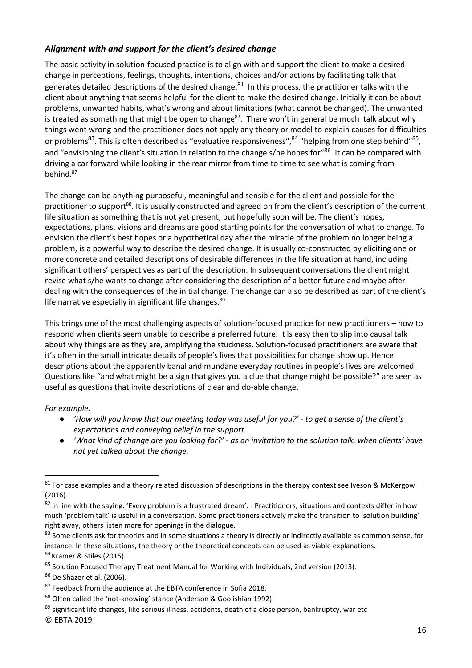#### <span id="page-16-0"></span>*Alignment with and support for the client's desired change*

The basic activity in solution-focused practice is to align with and support the client to make a desired change in perceptions, feelings, thoughts, intentions, choices and/or actions by facilitating talk that generates detailed descriptions of the desired change.<sup>81</sup> In this process, the practitioner talks with the client about anything that seems helpful for the client to make the desired change. Initially it can be about problems, unwanted habits, what's wrong and about limitations (what cannot be changed). The unwanted is treated as something that might be open to change $82$ . There won't in general be much talk about why things went wrong and the practitioner does not apply any theory or model to explain causes for difficulties or problems<sup>83</sup>. This is often described as "evaluative responsiveness",<sup>84</sup> "helping from one step behind"<sup>85</sup>, and "envisioning the client's situation in relation to the change s/he hopes for <sup>86</sup>. It can be compared with driving a car forward while looking in the rear mirror from time to time to see what is coming from behind.<sup>87</sup>

The change can be anything purposeful, meaningful and sensible for the client and possible for the practitioner to support<sup>88</sup>. It is usually constructed and agreed on from the client's description of the current life situation as something that is not yet present, but hopefully soon will be. The client's hopes, expectations, plans, visions and dreams are good starting points for the conversation of what to change. To envision the client's best hopes or a hypothetical day after the miracle of the problem no longer being a problem, is a powerful way to describe the desired change. It is usually co-constructed by eliciting one or more concrete and detailed descriptions of desirable differences in the life situation at hand, including significant others' perspectives as part of the description. In subsequent conversations the client might revise what s/he wants to change after considering the description of a better future and maybe after dealing with the consequences of the initial change. The change can also be described as part of the client's life narrative especially in significant life changes.<sup>89</sup>

This brings one of the most challenging aspects of solution-focused practice for new practitioners – how to respond when clients seem unable to describe a preferred future. It is easy then to slip into causal talk about why things are as they are, amplifying the stuckness. Solution-focused practitioners are aware that it's often in the small intricate details of people's lives that possibilities for change show up. Hence descriptions about the apparently banal and mundane everyday routines in people's lives are welcomed. Questions like "and what might be a sign that gives you a clue that change might be possible?" are seen as useful as questions that invite descriptions of clear and do-able change.

*For example:*

- *'How will you know that our meeting today was useful for you?' - to get a sense of the client's expectations and conveying belief in the support.*
- *'What kind of change are you looking for?' - as an invitation to the solution talk, when clients' have not yet talked about the change.*

 $81$  For case examples and a theory related discussion of descriptions in the therapy context see Iveson & McKergow (2016).

 $82$  in line with the saying: 'Every problem is a frustrated dream'. - Practitioners, situations and contexts differ in how much 'problem talk' is useful in a conversation. Some practitioners actively make the transition to 'solution building' right away, others listen more for openings in the dialogue.

<sup>83</sup> Some clients ask for theories and in some situations a theory is directly or indirectly available as common sense, for instance. In these situations, the theory or the theoretical concepts can be used as viable explanations. 84 Kramer & Stiles (2015).

<sup>85</sup> Solution Focused Therapy Treatment Manual for Working with Individuals, 2nd version (2013).

<sup>86</sup> De Shazer et al. (2006).

<sup>87</sup> Feedback from the audience at the EBTA conference in Sofia 2018.

<sup>88</sup> Often called the 'not-knowing' stance (Anderson & Goolishian 1992).

<sup>89</sup> significant life changes, like serious illness, accidents, death of a close person, bankruptcy, war etc

<sup>©</sup> EBTA 2019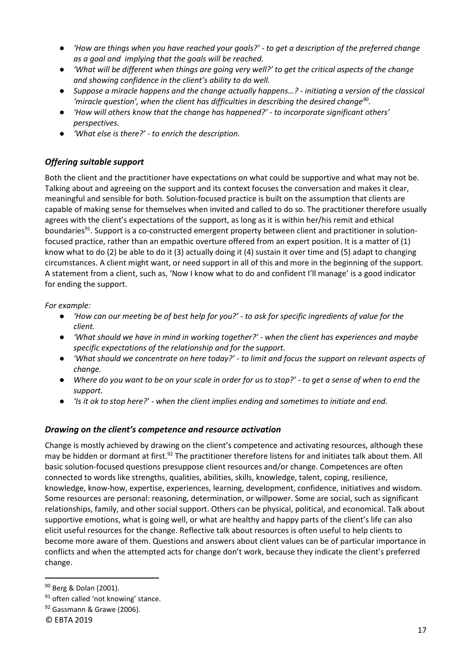- *'How are things when you have reached your goals?' - to get a description of the preferred change as a goal and implying that the goals will be reached.*
- *'What will be different when things are going very well?' to get the critical aspects of the change and showing confidence in the client's ability to do well.*
- *Suppose a miracle happens and the change actually happens…? - initiating a version of the classical 'miracle question', when the client has difficulties in describing the desired change<sup>90</sup> .*
- *'How will others know that the change has happened?' - to incorporate significant others' perspectives.*
- *'What else is there?' - to enrich the description.*

#### <span id="page-17-0"></span>*Offering suitable support*

Both the client and the practitioner have expectations on what could be supportive and what may not be. Talking about and agreeing on the support and its context focuses the conversation and makes it clear, meaningful and sensible for both. Solution-focused practice is built on the assumption that clients are capable of making sense for themselves when invited and called to do so. The practitioner therefore usually agrees with the client's expectations of the support, as long as it is within her/his remit and ethical boundaries<sup>91</sup>. Support is a co-constructed emergent property between client and practitioner in solutionfocused practice, rather than an empathic overture offered from an expert position. It is a matter of (1) know what to do (2) be able to do it (3) actually doing it (4) sustain it over time and (5) adapt to changing circumstances. A client might want, or need support in all of this and more in the beginning of the support. A statement from a client, such as, 'Now I know what to do and confident I'll manage' is a good indicator for ending the support.

*For example:*

- *'How can our meeting be of best help for you?' - to ask for specific ingredients of value for the client.*
- *'What should we have in mind in working together?' - when the client has experiences and maybe specific expectations of the relationship and for the support.*
- *'What should we concentrate on here today?' - to limit and focus the support on relevant aspects of change.*
- *Where do you want to be on your scale in order for us to stop?' - to get a sense of when to end the support.*
- *'Is it ok to stop here?' - when the client implies ending and sometimes to initiate and end.*

#### <span id="page-17-1"></span>*Drawing on the client's competence and resource activation*

Change is mostly achieved by drawing on the client's competence and activating resources, although these may be hidden or dormant at first.<sup>92</sup> The practitioner therefore listens for and initiates talk about them. All basic solution-focused questions presuppose client resources and/or change. Competences are often connected to words like strengths, qualities, abilities, skills, knowledge, talent, coping, resilience, knowledge, know-how, expertise, experiences, learning, development, confidence, initiatives and wisdom. Some resources are personal: reasoning, determination, or willpower. Some are social, such as significant relationships, family, and other social support. Others can be physical, political, and economical. Talk about supportive emotions, what is going well, or what are healthy and happy parts of the client's life can also elicit useful resources for the change. Reflective talk about resources is often useful to help clients to become more aware of them. Questions and answers about client values can be of particular importance in conflicts and when the attempted acts for change don't work, because they indicate the client's preferred change.

<sup>&</sup>lt;sup>90</sup> Berg & Dolan (2001).

 $91$  often called 'not knowing' stance.

<sup>92</sup> Gassmann & Grawe (2006).

<sup>©</sup> EBTA 2019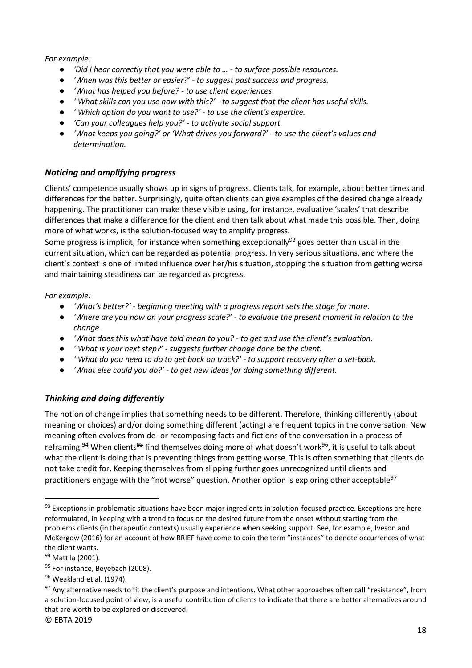#### *For example:*

- *'Did I hear correctly that you were able to … - to surface possible resources.*
- *'When was this better or easier?' - to suggest past success and progress.*
- *'What has helped you before? - to use client experiences*
- *' What skills can you use now with this?' - to suggest that the client has useful skills.*
- *' Which option do you want to use?' - to use the client's expertice.*
- *'Can your colleagues help you?' - to activate social support.*
- 'What keeps you going?' or 'What drives you forward?' to use the client's values and *determination.*

#### <span id="page-18-0"></span>*Noticing and amplifying progress*

Clients' competence usually shows up in signs of progress. Clients talk, for example, about better times and differences for the better. Surprisingly, quite often clients can give examples of the desired change already happening. The practitioner can make these visible using, for instance, evaluative 'scales' that describe differences that make a difference for the client and then talk about what made this possible. Then, doing more of what works, is the solution-focused way to amplify progress.

Some progress is implicit, for instance when something exceptionally<sup>93</sup> goes better than usual in the current situation, which can be regarded as potential progress. In very serious situations, and where the client's context is one of limited influence over her/his situation, stopping the situation from getting worse and maintaining steadiness can be regarded as progress.

#### *For example:*

- *'What's better?' - beginning meeting with a progress report sets the stage for more.*
- *'Where are you now on your progress scale?' - to evaluate the present moment in relation to the change.*
- *'What does this what have told mean to you? - to get and use the client's evaluation.*
- *' What is your next step?' - suggests further change done be the client.*
- *' What do you need to do to get back on track?' - to support recovery after a set-back.*
- *'What else could you do?' - to get new ideas for doing something different.*

#### <span id="page-18-1"></span>*Thinking and doing differently*

The notion of change implies that something needs to be different. Therefore, thinking differently (about meaning or choices) and/or doing something different (acting) are frequent topics in the conversation. New meaning often evolves from de- or recomposing facts and fictions of the conversation in a process of reframing.<sup>94</sup> When clients<sup>95</sup> find themselves doing more of what doesn't work<sup>96</sup>, it is useful to talk about what the client is doing that is preventing things from getting worse. This is often something that clients do not take credit for. Keeping themselves from slipping further goes unrecognized until clients and practitioners engage with the "not worse" question. Another option is exploring other acceptable<sup>97</sup>

<sup>&</sup>lt;sup>93</sup> Exceptions in problematic situations have been major ingredients in solution-focused practice. Exceptions are here reformulated, in keeping with a trend to focus on the desired future from the onset without starting from the problems clients (in therapeutic contexts) usually experience when seeking support. See, for example, Iveson and McKergow (2016) for an account of how BRIEF have come to coin the term "instances" to denote occurrences of what the client wants.

<sup>&</sup>lt;sup>94</sup> Mattila (2001).

<sup>95</sup> For instance, Beyebach (2008).

<sup>96</sup> Weakland et al. (1974).

<sup>&</sup>lt;sup>97</sup> Any alternative needs to fit the client's purpose and intentions. What other approaches often call "resistance", from a solution-focused point of view, is a useful contribution of clients to indicate that there are better alternatives around that are worth to be explored or discovered.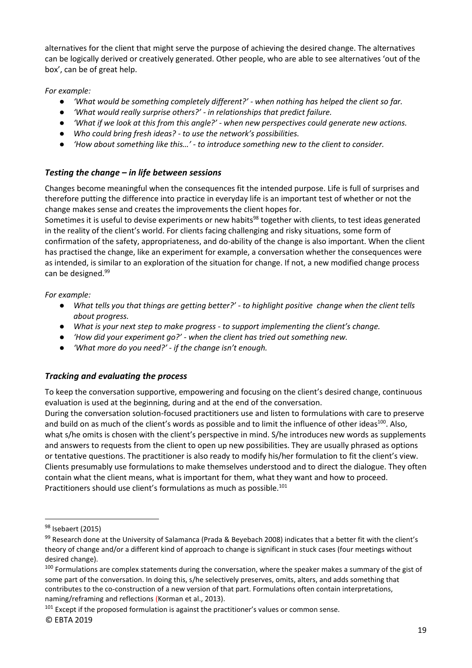alternatives for the client that might serve the purpose of achieving the desired change. The alternatives can be logically derived or creatively generated. Other people, who are able to see alternatives 'out of the box', can be of great help.

*For example:*

- *'What would be something completely different?' - when nothing has helped the client so far.*
- *'What would really surprise others?' - in relationships that predict failure.*
- *'What if we look at this from this angle?' - when new perspectives could generate new actions.*
- *Who could bring fresh ideas? - to use the network's possibilities.*
- *'How about something like this…' - to introduce something new to the client to consider.*

#### <span id="page-19-0"></span>*Testing the change – in life between sessions*

Changes become meaningful when the consequences fit the intended purpose. Life is full of surprises and therefore putting the difference into practice in everyday life is an important test of whether or not the change makes sense and creates the improvements the client hopes for.

Sometimes it is useful to devise experiments or new habits<sup>98</sup> together with clients, to test ideas generated in the reality of the client's world. For clients facing challenging and risky situations, some form of confirmation of the safety, appropriateness, and do-ability of the change is also important. When the client has practised the change, like an experiment for example, a conversation whether the consequences were as intended, is similar to an exploration of the situation for change. If not, a new modified change process can be designed.<sup>99</sup>

*For example:*

- *What tells you that things are getting better?' - to highlight positive change when the client tells about progress.*
- *What is your next step to make progress - to support implementing the client's change.*
- *'How did your experiment go?' - when the client has tried out something new.*
- *'What more do you need?' - if the change isn't enough.*

#### <span id="page-19-1"></span>*Tracking and evaluating the process*

To keep the conversation supportive, empowering and focusing on the client's desired change, continuous evaluation is used at the beginning, during and at the end of the conversation.

During the conversation solution-focused practitioners use and listen to formulations with care to preserve and build on as much of the client's words as possible and to limit the influence of other ideas<sup>100</sup>. Also, what s/he omits is chosen with the client's perspective in mind. S/he introduces new words as supplements and answers to requests from the client to open up new possibilities. They are usually phrased as options or tentative questions. The practitioner is also ready to modify his/her formulation to fit the client's view. Clients presumably use formulations to make themselves understood and to direct the dialogue. They often contain what the client means, what is important for them, what they want and how to proceed. Practitioners should use client's formulations as much as possible.<sup>101</sup>

<sup>101</sup> Except if the proposed formulation is against the practitioner's values or common sense.

<sup>&</sup>lt;sup>98</sup> Isebaert (2015)

 $99$  Research done at the University of Salamanca (Prada & Beyebach 2008) indicates that a better fit with the client's theory of change and/or a different kind of approach to change is significant in stuck cases (four meetings without desired change).

<sup>&</sup>lt;sup>100</sup> Formulations are complex statements during the conversation, where the speaker makes a summary of the gist of some part of the conversation. In doing this, s/he selectively preserves, omits, alters, and adds something that contributes to the co-construction of a new version of that part. Formulations often contain interpretations, naming/reframing and reflections (Korman et al., 2013).

<sup>©</sup> EBTA 2019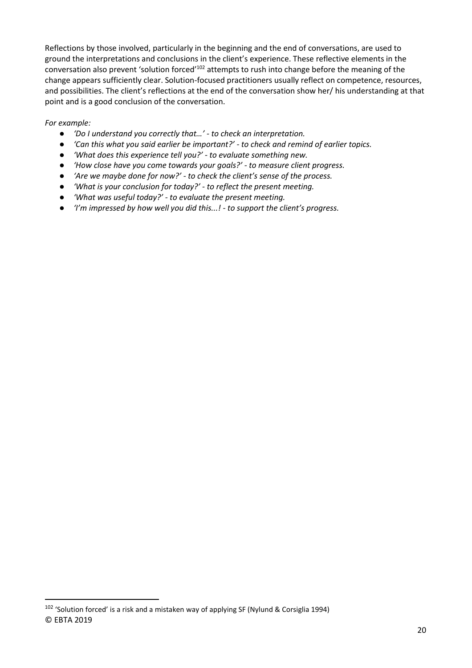Reflections by those involved, particularly in the beginning and the end of conversations, are used to ground the interpretations and conclusions in the client's experience. These reflective elements in the conversation also prevent 'solution forced'<sup>102</sup> attempts to rush into change before the meaning of the change appears sufficiently clear. Solution-focused practitioners usually reflect on competence, resources, and possibilities. The client's reflections at the end of the conversation show her/ his understanding at that point and is a good conclusion of the conversation.

*For example:*

- *'Do I understand you correctly that…' - to check an interpretation.*
- *'Can this what you said earlier be important?' - to check and remind of earlier topics.*
- *'What does this experience tell you?' - to evaluate something new.*
- *'How close have you come towards your goals?' - to measure client progress.*
- *'Are we maybe done for now?' - to check the client's sense of the process.*
- *'What is your conclusion for today?' - to reflect the present meeting.*
- *'What was useful today?' - to evaluate the present meeting.*
- *'I'm impressed by how well you did this...! - to support the client's progress.*

<sup>©</sup> EBTA 2019 <sup>102</sup> 'Solution forced' is a risk and a mistaken way of applying SF (Nylund & Corsiglia 1994)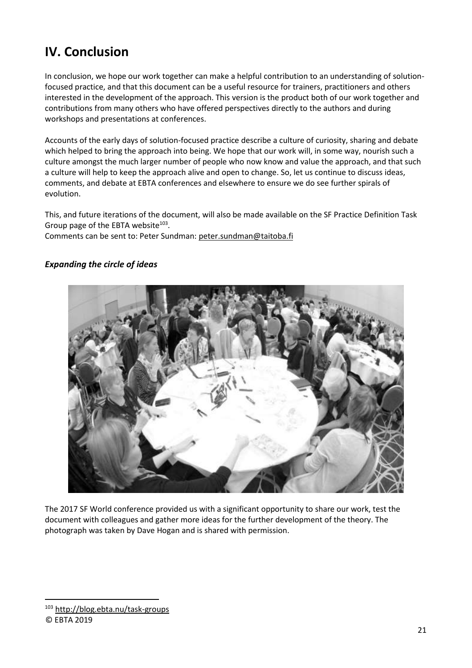## <span id="page-21-0"></span>**IV. Conclusion**

In conclusion, we hope our work together can make a helpful contribution to an understanding of solutionfocused practice, and that this document can be a useful resource for trainers, practitioners and others interested in the development of the approach. This version is the product both of our work together and contributions from many others who have offered perspectives directly to the authors and during workshops and presentations at conferences.

Accounts of the early days of solution-focused practice describe a culture of curiosity, sharing and debate which helped to bring the approach into being. We hope that our work will, in some way, nourish such a culture amongst the much larger number of people who now know and value the approach, and that such a culture will help to keep the approach alive and open to change. So, let us continue to discuss ideas, comments, and debate at EBTA conferences and elsewhere to ensure we do see further spirals of evolution.

This, and future iterations of the document, will also be made available on the SF Practice Definition Task Group page of the EBTA website $^{103}$ .

Comments can be sent to: Peter Sundman: [peter.sundman@taitoba.fi](mailto:peter.sundman@taitoba.fi)

#### <span id="page-21-1"></span>*Expanding the circle of ideas*



The 2017 SF World conference provided us with a significant opportunity to share our work, test the document with colleagues and gather more ideas for the further development of the theory. The photograph was taken by Dave Hogan and is shared with permission.

#### © EBTA 2019

<sup>103</sup> <http://blog.ebta.nu/task-groups>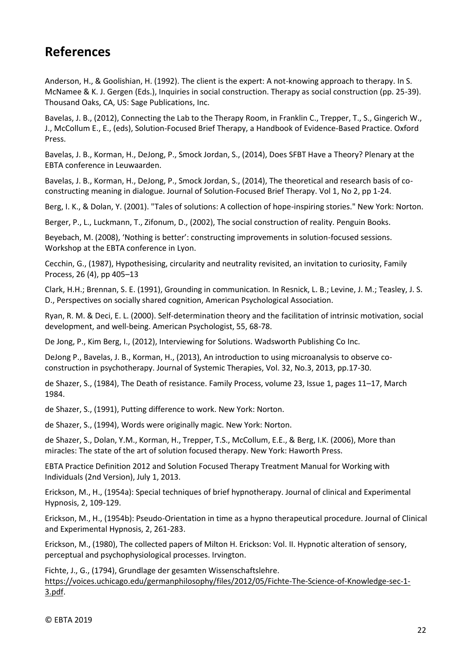## <span id="page-22-0"></span>**References**

Anderson, H., & Goolishian, H. (1992). The client is the expert: A not-knowing approach to therapy. In S. McNamee & K. J. Gergen (Eds.), Inquiries in social construction. Therapy as social construction (pp. 25-39). Thousand Oaks, CA, US: Sage Publications, Inc.

Bavelas, J. B., (2012), Connecting the Lab to the Therapy Room, in Franklin C., Trepper, T., S., Gingerich W., J., McCollum E., E., (eds), Solution-Focused Brief Therapy, a Handbook of Evidence-Based Practice. Oxford Press.

Bavelas, J. B., Korman, H., DeJong, P., Smock Jordan, S., (2014), Does SFBT Have a Theory? Plenary at the EBTA conference in Leuwaarden.

Bavelas, J. B., Korman, H., DeJong, P., Smock Jordan, S., (2014), The theoretical and research basis of coconstructing meaning in dialogue. Journal of Solution-Focused Brief Therapy. Vol 1, No 2, pp 1-24.

Berg, I. K., & Dolan, Y. (2001). "Tales of solutions: A collection of hope-inspiring stories." New York: Norton.

Berger, P., L., Luckmann, T., Zifonum, D., (2002), The social construction of reality. Penguin Books.

Beyebach, M. (2008), 'Nothing is better': constructing improvements in solution-focused sessions. Workshop at the EBTA conference in Lyon.

Cecchin, G., (1987), Hypothesising, circularity and neutrality revisited, an invitation to curiosity, Family Process, 26 (4), pp 405–13

Clark, H.H.; Brennan, S. E. (1991), Grounding in communication. In Resnick, L. B.; Levine, J. M.; Teasley, J. S. D., Perspectives on socially shared cognition, American Psychological Association.

Ryan, R. M. & Deci, E. L. (2000). Self-determination theory and the facilitation of intrinsic motivation, social development, and well-being. American Psychologist, 55, 68-78.

De Jong, P., Kim Berg, I., (2012), Interviewing for Solutions. Wadsworth Publishing Co Inc.

DeJong P., Bavelas, J. B., Korman, H., (2013), An introduction to using microanalysis to observe coconstruction in psychotherapy. Journal of Systemic Therapies, Vol. 32, No.3, 2013, pp.17-30.

de Shazer, S., (1984), The Death of resistance. Family Process, volume 23, Issue 1, pages 11–17, March 1984.

de Shazer, S., (1991), Putting difference to work. New York: Norton.

de Shazer, S., (1994), Words were originally magic. New York: Norton.

de Shazer, S., Dolan, Y.M., Korman, H., Trepper, T.S., McCollum, E.E., & Berg, I.K. (2006), More than miracles: The state of the art of solution focused therapy. New York: Haworth Press.

EBTA Practice Definition 2012 and Solution Focused Therapy Treatment Manual for Working with Individuals (2nd Version), July 1, 2013.

Erickson, M., H., (1954a): Special techniques of brief hypnotherapy. Journal of clinical and Experimental Hypnosis, 2, 109-129.

Erickson, M., H., (1954b): Pseudo-Orientation in time as a hypno therapeutical procedure. Journal of Clinical and Experimental Hypnosis, 2, 261-283.

Erickson, M., (1980), The collected papers of Milton H. Erickson: Vol. II. Hypnotic alteration of sensory, perceptual and psychophysiological processes. Irvington.

Fichte, J., G., (1794), Grundlage der gesamten Wissenschaftslehre. [https://voices.uchicago.edu/germanphilosophy/files/2012/05/Fichte-The-Science-of-Knowledge-sec-1-](https://voices.uchicago.edu/germanphilosophy/files/2012/05/Fichte-The-Science-of-Knowledge-sec-1-3.pdf) [3.pdf.](https://voices.uchicago.edu/germanphilosophy/files/2012/05/Fichte-The-Science-of-Knowledge-sec-1-3.pdf)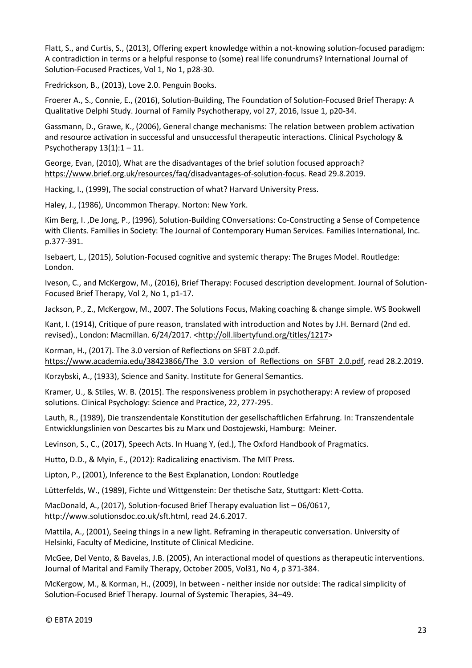Flatt, S., and Curtis, S., (2013), Offering expert knowledge within a not-knowing solution-focused paradigm: A contradiction in terms or a helpful response to (some) real life conundrums? International Journal of Solution-Focused Practices, Vol 1, No 1, p28-30.

Fredrickson, B., (2013), Love 2.0. Penguin Books.

Froerer A., S., Connie, E., (2016), Solution-Building, The Foundation of Solution-Focused Brief Therapy: A Qualitative Delphi Study. Journal of Family Psychotherapy, vol 27, 2016, Issue 1, p20-34.

Gassmann, D., Grawe, K., (2006), General change mechanisms: The relation between problem activation and resource activation in successful and unsuccessful therapeutic interactions. [Clinical Psychology &](https://www.researchgate.net/journal/1099-0879_Clinical_Psychology_Psychotherapy)  [Psychotherapy](https://www.researchgate.net/journal/1099-0879_Clinical_Psychology_Psychotherapy)  $13(1):1 - 11$ .

George, Evan, (2010), What are the disadvantages of the brief solution focused approach? [https://www.brief.org.uk/resources/faq/disadvantages-of-solution-focus.](https://www.brief.org.uk/resources/faq/disadvantages-of-solution-focus) Read 29.8.2019.

Hacking, I., (1999), The social construction of what? Harvard University Press.

Haley, J., (1986), Uncommon Therapy. Norton: New York.

Kim Berg, I. ,De Jong, P., (1996), Solution-Building COnversations: Co-Constructing a Sense of Competence with Clients. Families in Society: The Journal of Contemporary Human Services. Families International, Inc. p.377-391.

Isebaert, L., (2015), Solution-Focused cognitive and systemic therapy: The Bruges Model. Routledge: London.

Iveson, C., and McKergow, M., (2016), Brief Therapy: Focused description development. Journal of Solution-Focused Brief Therapy, Vol 2, No 1, p1-17.

Jackson, P., Z., McKergow, M., 2007. The Solutions Focus, Making coaching & change simple. WS Bookwell

Kant, I. (1914), Critique of pure reason, translated with introduction and Notes by J.H. Bernard (2nd ed. revised)., London: Macmillan. 6/24/2017. [<http://oll.libertyfund.org/titles/1217>](http://oll.libertyfund.org/titles/1217)

Korman, H., (2017). The 3.0 version of Reflections on SFBT 2.0.pdf. https://www.academia.edu/38423866/The 3.0 version of Reflections on SFBT 2.0.pdf, read 28.2.2019.

Korzybski, A., (1933), Science and Sanity. Institute for General Semantics.

Kramer, U., & Stiles, W. B. (2015). The responsiveness problem in psychotherapy: A review of proposed solutions. Clinical Psychology: Science and Practice, 22, 277-295.

Lauth, R., (1989), Die transzendentale Konstitution der gesellschaftlichen Erfahrung. In: Transzendentale Entwicklungslinien von Descartes bis zu Marx und Dostojewski, Hamburg: Meiner.

Levinson, S., C., (2017), Speech Acts. In Huang Y, (ed.), The Oxford Handbook of Pragmatics.

Hutto, D.D., & Myin, E., (2012): Radicalizing enactivism. The MIT Press.

Lipton, P., (2001), Inference to the Best Explanation, London: Routledge

Lütterfelds, W., (1989), Fichte und Wittgenstein: Der thetische Satz, Stuttgart: Klett-Cotta.

MacDonald, A., (2017), Solution-focused Brief Therapy evaluation list – 06/0617, http://www.solutionsdoc.co.uk/sft.html, read 24.6.2017.

Mattila, A., (2001), Seeing things in a new light. Reframing in therapeutic conversation. University of Helsinki, Faculty of Medicine, Institute of Clinical Medicine.

McGee, Del Vento, & Bavelas, J.B. (2005), An interactional model of questions as therapeutic interventions. Journal of Marital and Family Therapy, October 2005, Vol31, No 4, p 371-384.

McKergow, M., & Korman, H., (2009), In between - neither inside nor outside: The radical simplicity of Solution-Focused Brief Therapy. Journal of Systemic Therapies, 34–49.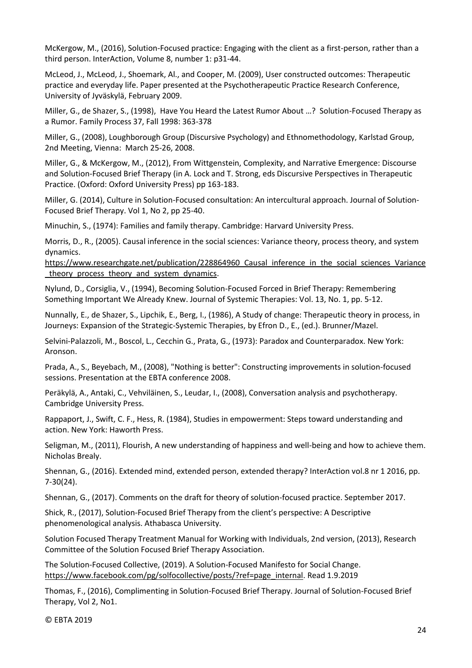McKergow, M., (2016), Solution-Focused practice: Engaging with the client as a first-person, rather than a third person. InterAction, Volume 8, number 1: p31-44.

McLeod, J., McLeod, J., Shoemark, Al., and Cooper, M. (2009), User constructed outcomes: Therapeutic practice and everyday life. Paper presented at the Psychotherapeutic Practice Research Conference, University of Jyväskylä, February 2009.

Miller, G., de Shazer, S., (1998), Have You Heard the Latest Rumor About …? Solution-Focused Therapy as a Rumor. Family Process 37, Fall 1998: 363-378

Miller, G., (2008), Loughborough Group (Discursive Psychology) and Ethnomethodology, Karlstad Group, 2nd Meeting, Vienna: March 25-26, 2008.

Miller, G., & McKergow, M., (2012), From Wittgenstein, Complexity, and Narrative Emergence: Discourse and Solution-Focused Brief Therapy (in A. Lock and T. Strong, eds Discursive Perspectives in Therapeutic Practice. (Oxford: Oxford University Press) pp 163-183.

Miller, G. (2014), Culture in Solution-Focused consultation: An intercultural approach. Journal of Solution-Focused Brief Therapy. Vol 1, No 2, pp 25-40.

Minuchin, S., (1974): Families and family therapy. Cambridge: Harvard University Press.

Morris, D., R., (2005). Causal inference in the social sciences: Variance theory, process theory, and system dynamics.

https://www.researchgate.net/publication/228864960 Causal inference in the social sciences Variance theory process theory and system dynamics.

Nylund, D., Corsiglia, V., (1994), Becoming Solution-Focused Forced in Brief Therapy: Remembering Something Important We Already Knew. Journal of Systemic Therapies: Vol. 13, No. 1, pp. 5-12.

Nunnally, E., de Shazer, S., Lipchik, E., Berg, I., (1986), A Study of change: Therapeutic theory in process, in Journeys: Expansion of the Strategic-Systemic Therapies, by Efron D., E., (ed.). Brunner/Mazel.

Selvini-Palazzoli, M., Boscol, L., Cecchin G., Prata, G., (1973): Paradox and Counterparadox. New York: Aronson.

Prada, A., S., Beyebach, M., (2008), "Nothing is better": Constructing improvements in solution-focused sessions. Presentation at the EBTA conference 2008.

Peräkylä, A., Antaki, C., Vehviläinen, S., Leudar, I., (2008), Conversation analysis and psychotherapy. Cambridge University Press.

Rappaport, J., Swift, C. F., Hess, R. (1984), Studies in empowerment: Steps toward understanding and action. New York: Haworth Press.

Seligman, M., (2011), Flourish, A new understanding of happiness and well-being and how to achieve them. Nicholas Brealy.

Shennan, G., (2016). Extended mind, extended person, extended therapy? InterAction vol.8 nr 1 2016, pp. 7-30(24).

Shennan, G., (2017). Comments on the draft for theory of solution-focused practice. September 2017.

Shick, R., (2017), Solution-Focused Brief Therapy from the client's perspective: A Descriptive phenomenological analysis. Athabasca University.

Solution Focused Therapy Treatment Manual for Working with Individuals, 2nd version, (2013), Research Committee of the Solution Focused Brief Therapy Association.

The Solution-Focused Collective, (2019). A Solution-Focused Manifesto for Social Change. [https://www.facebook.com/pg/solfocollective/posts/?ref=page\\_internal.](https://www.facebook.com/pg/solfocollective/posts/?ref=page_internal) Read 1.9.2019

Thomas, F., (2016), Complimenting in Solution-Focused Brief Therapy. Journal of Solution-Focused Brief Therapy, Vol 2, No1.

© EBTA 2019